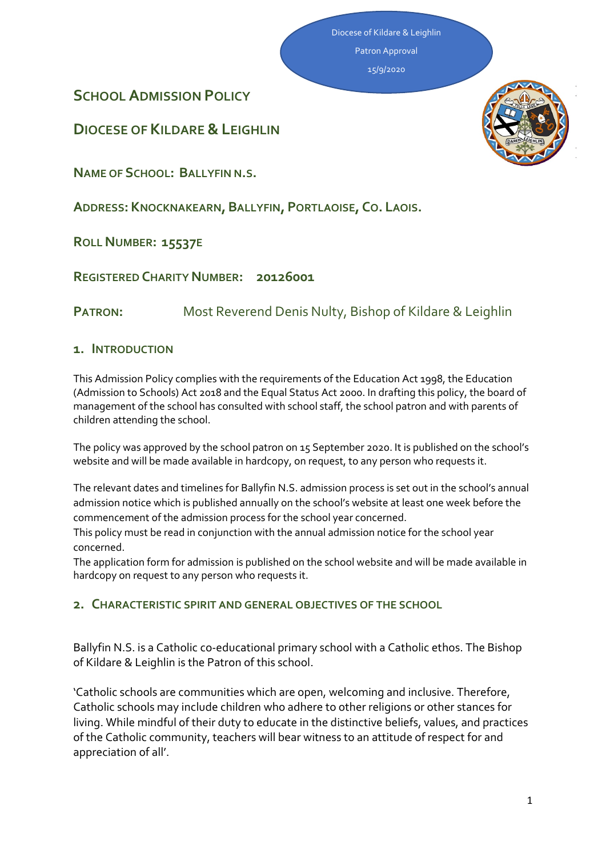Diocese of Kildare & Leighlin Patron Approval

15/9/2020

**SCHOOL ADMISSION POLICY**

**DIOCESE OF KILDARE &LEIGHLIN**

**NAME OF SCHOOL: BALLYFIN N.S.**

**ADDRESS: KNOCKNAKEARN,BALLYFIN, PORTLAOISE, CO. LAOIS.**

**ROLL NUMBER: 15537E**

**REGISTERED CHARITY NUMBER: 20126001**

**PATRON:** Most Reverend Denis Nulty, Bishop of Kildare & Leighlin

## **1. INTRODUCTION**

This Admission Policy complies with the requirements of the Education Act 1998, the Education (Admission to Schools) Act 2018 and the Equal Status Act 2000. In drafting this policy, the board of management of the school has consulted with school staff, the school patron and with parents of children attending the school.

The policy was approved by the school patron on 15 September 2020. It is published on the school's website and will be made available in hardcopy, on request, to any person who requests it.

The relevant dates and timelines for Ballyfin N.S. admission process is set out in the school's annual admission notice which is published annually on the school's website at least one week before the commencement of the admission process for the school year concerned.

This policy must be read in conjunction with the annual admission notice for the school year concerned.

The application form for admission is published on the school website and will be made available in hardcopy on request to any person who requests it.

## **2. CHARACTERISTIC SPIRIT AND GENERAL OBJECTIVES OF THE SCHOOL**

Ballyfin N.S. is a Catholic co-educational primary school with a Catholic ethos. The Bishop of Kildare & Leighlin is the Patron of this school.

'Catholic schools are communities which are open, welcoming and inclusive. Therefore, Catholic schools may include children who adhere to other religions or other stances for living. While mindful of their duty to educate in the distinctive beliefs, values, and practices of the Catholic community, teachers will bear witness to an attitude of respect for and appreciation of all'.

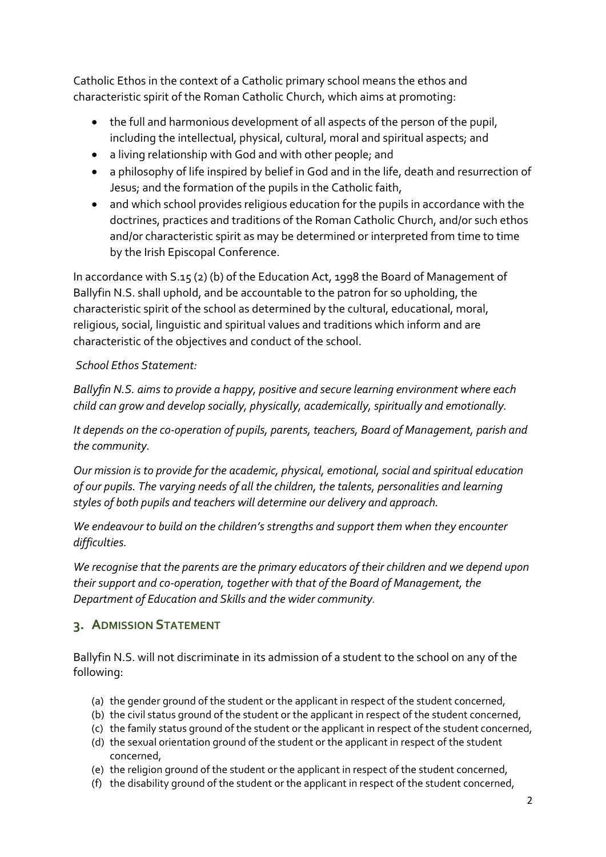Catholic Ethos in the context of a Catholic primary school means the ethos and characteristic spirit of the Roman Catholic Church, which aims at promoting:

- the full and harmonious development of all aspects of the person of the pupil, including the intellectual, physical, cultural, moral and spiritual aspects; and
- a living relationship with God and with other people; and
- a philosophy of life inspired by belief in God and in the life, death and resurrection of Jesus; and the formation of the pupils in the Catholic faith,
- and which school provides religious education for the pupils in accordance with the doctrines, practices and traditions of the Roman Catholic Church, and/or such ethos and/or characteristic spirit as may be determined or interpreted from time to time by the Irish Episcopal Conference.

In accordance with S.15 (2) (b) of the Education Act, 1998 the Board of Management of Ballyfin N.S. shall uphold, and be accountable to the patron for so upholding, the characteristic spirit of the school as determined by the cultural, educational, moral, religious, social, linguistic and spiritual values and traditions which inform and are characteristic of the objectives and conduct of the school.

## *School Ethos Statement:*

*Ballyfin N.S. aims to provide a happy, positive and secure learning environment where each child can grow and develop socially, physically, academically, spiritually and emotionally.*

*It depends on the co-operation of pupils, parents, teachers, Board of Management, parish and the community.*

*Our mission is to provide for the academic, physical, emotional, social and spiritual education of our pupils. The varying needs of all the children, the talents, personalities and learning styles of both pupils and teachers will determine our delivery and approach.*

*We endeavour to build on the children's strengths and support them when they encounter difficulties.*

*We recognise that the parents are the primary educators of their children and we depend upon their support and co-operation, together with that of the Board of Management, the Department of Education and Skills and the wider community.*

## **3. ADMISSION STATEMENT**

Ballyfin N.S. will not discriminate in its admission of a student to the school on any of the following:

- (a) the gender ground of the student or the applicant in respect of the student concerned,
- (b) the civil status ground of the student or the applicant in respect of the student concerned,
- (c) the family status ground of the student or the applicant in respect of the student concerned,
- (d) the sexual orientation ground of the student or the applicant in respect of the student concerned,
- (e) the religion ground of the student or the applicant in respect of the student concerned,
- (f) the disability ground of the student or the applicant in respect of the student concerned,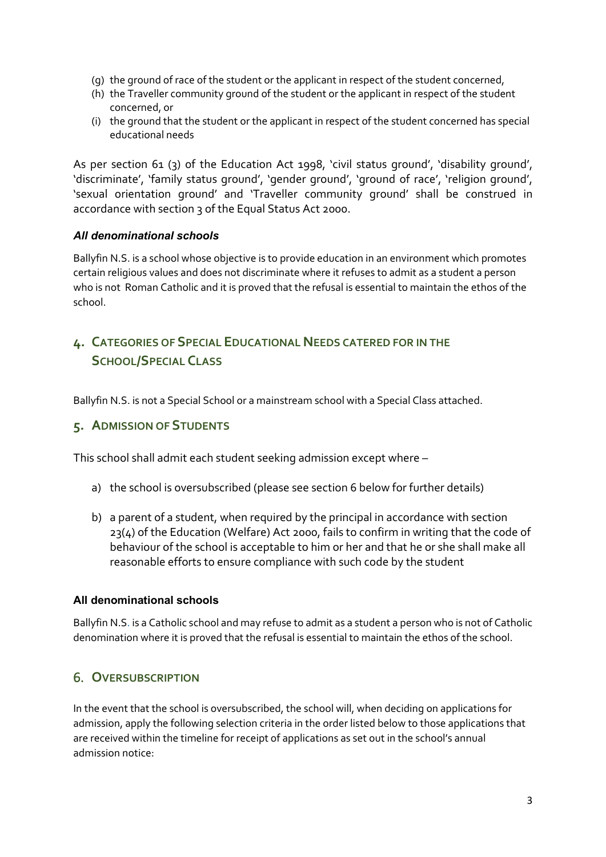- (g) the ground of race of the student or the applicant in respect of the student concerned,
- (h) the Traveller community ground of the student or the applicant in respect of the student concerned, or
- (i) the ground that the student or the applicant in respect of the student concerned has special educational needs

As per section 61 (3) of the Education Act 1998, 'civil status ground', 'disability ground', 'discriminate', 'family status ground', 'gender ground', 'ground of race', 'religion ground', 'sexual orientation ground' and 'Traveller community ground' shall be construed in accordance with section 3 of the Equal Status Act 2000.

### *All denominational schools*

Ballyfin N.S. is a school whose objective is to provide education in an environment which promotes certain religious values and does not discriminate where it refuses to admit as a student a person who is not Roman Catholic and it is proved that the refusal is essential to maintain the ethos of the school.

# **4. CATEGORIES OF SPECIAL EDUCATIONAL NEEDS CATERED FOR IN THE SCHOOL/SPECIAL CLASS**

Ballyfin N.S. is not a Special School or a mainstream school with a Special Class attached.

## **5. ADMISSION OF STUDENTS**

This school shall admit each student seeking admission except where –

- a) the school is oversubscribed (please see [section 6](#page-2-0) below for further details)
- b) a parent of a student, when required by the principal in accordance with section 23(4) of the Education (Welfare) Act 2000, fails to confirm in writing that the code of behaviour of the school is acceptable to him or her and that he or she shall make all reasonable efforts to ensure compliance with such code by the student

### **All denominational schools**

Ballyfin N.S. is a Catholic school and may refuse to admit as a student a person who is not of Catholic denomination where it is proved that the refusal is essential to maintain the ethos of the school.

## <span id="page-2-0"></span>6. **OVERSUBSCRIPTION**

In the event that the school is oversubscribed, the school will, when deciding on applications for admission, apply the following selection criteria in the order listed below to those applications that are received within the timeline for receipt of applications as set out in the school's annual admission notice: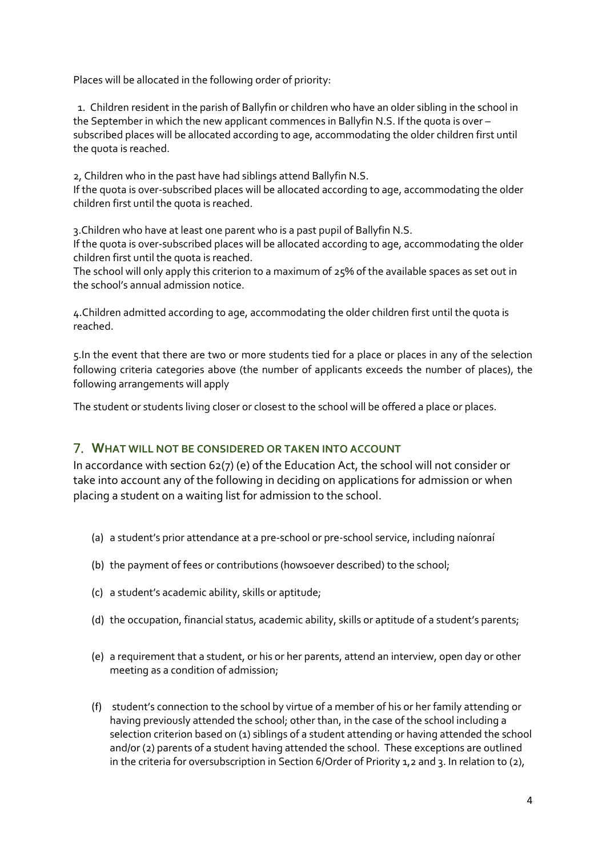Places will be allocated in the following order of priority:

 1. Children resident in the parish of Ballyfin or children who have an older sibling in the school in the September in which the new applicant commences in Ballyfin N.S. If the quota is over – subscribed places will be allocated according to age, accommodating the older children first until the quota is reached.

2, Children who in the past have had siblings attend Ballyfin N.S. If the quota is over-subscribed places will be allocated according to age, accommodating the older children first until the quota is reached.

3.Children who have at least one parent who is a past pupil of Ballyfin N.S.

If the quota is over-subscribed places will be allocated according to age, accommodating the older children first until the quota is reached.

The school will only apply this criterion to a maximum of 25% of the available spaces as set out in the school's annual admission notice.

4.Children admitted according to age, accommodating the older children first until the quota is reached.

5.In the event that there are two or more students tied for a place or places in any of the selection following criteria categories above (the number of applicants exceeds the number of places), the following arrangements will apply

The student or students living closer or closest to the school will be offered a place or places.

## 7. **WHAT WILL NOT BE CONSIDERED OR TAKEN INTO ACCOUNT**

In accordance with section 62(7) (e) of the Education Act, the school will not consider or take into account any of the following in deciding on applications for admission or when placing a student on a waiting list for admission to the school.

- (a) a student's prior attendance at a pre-school or pre-school service, including naíonraí
- (b) the payment of fees or contributions (howsoever described) to the school;
- (c) a student's academic ability, skills or aptitude;
- (d) the occupation, financial status, academic ability, skills or aptitude of a student's parents;
- (e) a requirement that a student, or his or her parents, attend an interview, open day or other meeting as a condition of admission;
- (f) student's connection to the school by virtue of a member of his or her family attending or having previously attended the school; other than, in the case of the school including a selection criterion based on (1) siblings of a student attending or having attended the school and/or (2) parents of a student having attended the school. These exceptions are outlined in the criteria for oversubscription in Section 6/Order of Priority 1,2 and 3. In relation to (2),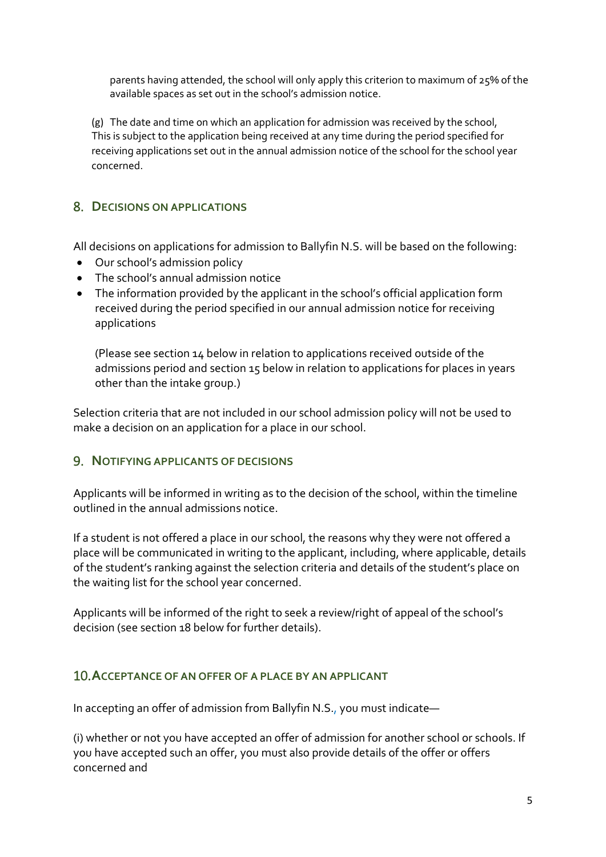parents having attended, the school will only apply this criterion to maximum of 25% of the available spaces as set out in the school's admission notice.

(g) The date and time on which an application for admission was received by the school, This is subject to the application being received at any time during the period specified for receiving applications set out in the annual admission notice of the school for the school year concerned.

# 8. **DECISIONS ON APPLICATIONS**

All decisions on applications for admission to Ballyfin N.S. will be based on the following:

- Our school's admission policy
- The school's annual admission notice
- The information provided by the applicant in the school's official application form received during the period specified in our annual admission notice for receiving applications

(Please see section 14 below in relation to applications received outside of the admissions period and section 15 below in relation to applications for places in years other than the intake group.)

Selection criteria that are not included in our school admission policy will not be used to make a decision on an application for a place in our school.

## 9. **NOTIFYING APPLICANTS OF DECISIONS**

Applicants will be informed in writing as to the decision of the school, within the timeline outlined in the annual admissions notice.

If a student is not offered a place in our school, the reasons why they were not offered a place will be communicated in writing to the applicant, including, where applicable, details of the student's ranking against the selection criteria and details of the student's place on the waiting list for the school year concerned.

Applicants will be informed of the right to seek a review/right of appeal of the school's decision (see section 18 below for further details).

## <span id="page-4-0"></span>10.**ACCEPTANCE OF AN OFFER OF A PLACE BY AN APPLICANT**

In accepting an offer of admission from Ballyfin N.S., you must indicate—

(i) whether or not you have accepted an offer of admission for another school or schools. If you have accepted such an offer, you must also provide details of the offer or offers concerned and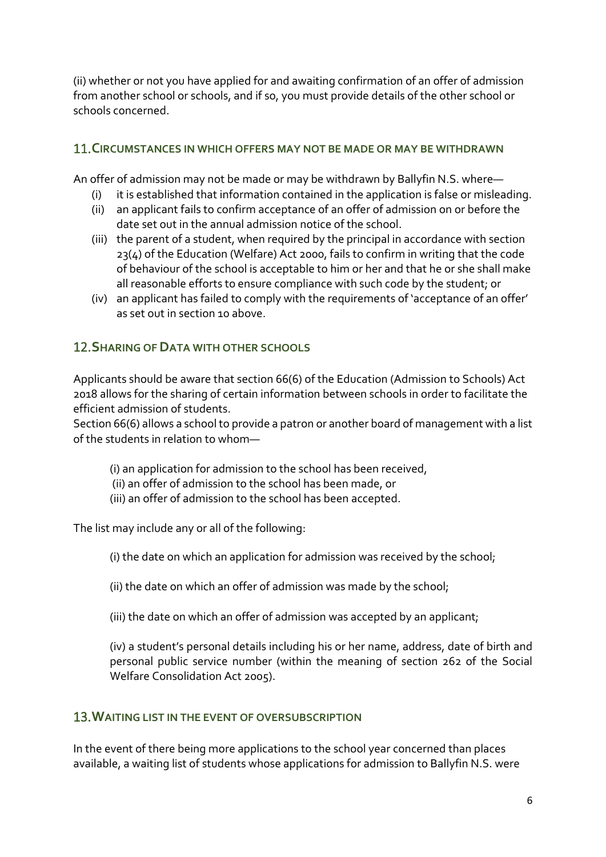(ii) whether or not you have applied for and awaiting confirmation of an offer of admission from another school or schools, and if so, you must provide details of the other school or schools concerned.

## 11.**CIRCUMSTANCES IN WHICH OFFERS MAY NOT BE MADE OR MAY BE WITHDRAWN**

An offer of admission may not be made or may be withdrawn by Ballyfin N.S. where—

- (i) it is established that information contained in the application is false or misleading.
- (ii) an applicant fails to confirm acceptance of an offer of admission on or before the date set out in the annual admission notice of the school.
- (iii) the parent of a student, when required by the principal in accordance with section 23(4) of the Education (Welfare) Act 2000, fails to confirm in writing that the code of behaviour of the school is acceptable to him or her and that he or she shall make all reasonable efforts to ensure compliance with such code by the student; or
- (iv) an applicant has failed to comply with the requirements of 'acceptance of an offer' as set out in [section 10](#page-4-0) above.

## 12.**SHARING OF DATA WITH OTHER SCHOOLS**

Applicants should be aware that section 66(6) of the Education (Admission to Schools) Act 2018 allows for the sharing of certain information between schools in order to facilitate the efficient admission of students.

Section 66(6) allows a school to provide a patron or another board of management with a list of the students in relation to whom—

- (i) an application for admission to the school has been received,
- (ii) an offer of admission to the school has been made, or
- (iii) an offer of admission to the school has been accepted.

The list may include any or all of the following:

- (i) the date on which an application for admission was received by the school;
- (ii) the date on which an offer of admission was made by the school;
- (iii) the date on which an offer of admission was accepted by an applicant;

(iv) a student's personal details including his or her name, address, date of birth and personal public service number (within the meaning of section 262 of the Social Welfare Consolidation Act 2005).

## 13.**WAITING LIST IN THE EVENT OF OVERSUBSCRIPTION**

In the event of there being more applications to the school year concerned than places available, a waiting list of students whose applications for admission to Ballyfin N.S. were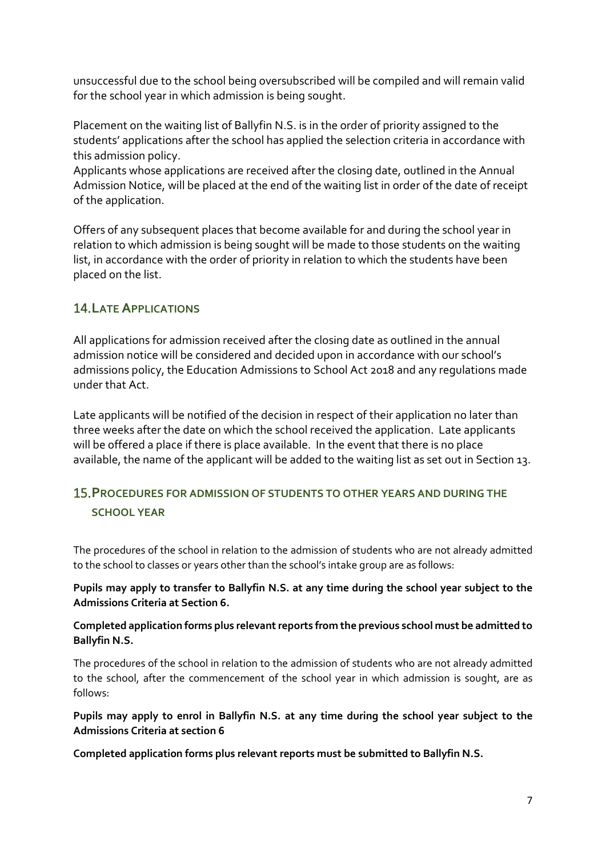unsuccessful due to the school being oversubscribed will be compiled and will remain valid for the school year in which admission is being sought.

Placement on the waiting list of Ballyfin N.S. is in the order of priority assigned to the students' applications after the school has applied the selection criteria in accordance with this admission policy.

Applicants whose applications are received after the closing date, outlined in the Annual Admission Notice, will be placed at the end of the waiting list in order of the date of receipt of the application.

Offers of any subsequent places that become available for and during the school year in relation to which admission is being sought will be made to those students on the waiting list, in accordance with the order of priority in relation to which the students have been placed on the list.

## 14.**LATE APPLICATIONS**

All applications for admission received after the closing date as outlined in the annual admission notice will be considered and decided upon in accordance with our school's admissions policy, the Education Admissions to School Act 2018 and any regulations made under that Act.

Late applicants will be notified of the decision in respect of their application no later than three weeks after the date on which the school received the application. Late applicants will be offered a place if there is place available. In the event that there is no place available, the name of the applicant will be added to the waiting list as set out in Section 13.

# 15.**PROCEDURES FOR ADMISSION OF STUDENTS TO OTHER YEARS AND DURING THE SCHOOL YEAR**

The procedures of the school in relation to the admission of students who are not already admitted to the school to classes or years other than the school's intake group are as follows:

### **Pupils may apply to transfer to Ballyfin N.S. at any time during the school year subject to the Admissions Criteria at Section 6.**

### **Completed application forms plus relevant reports from the previous school must be admitted to Ballyfin N.S.**

The procedures of the school in relation to the admission of students who are not already admitted to the school, after the commencement of the school year in which admission is sought, are as follows:

### **Pupils may apply to enrol in Ballyfin N.S. at any time during the school year subject to the Admissions Criteria at section 6**

**Completed application forms plus relevant reports must be submitted to Ballyfin N.S.**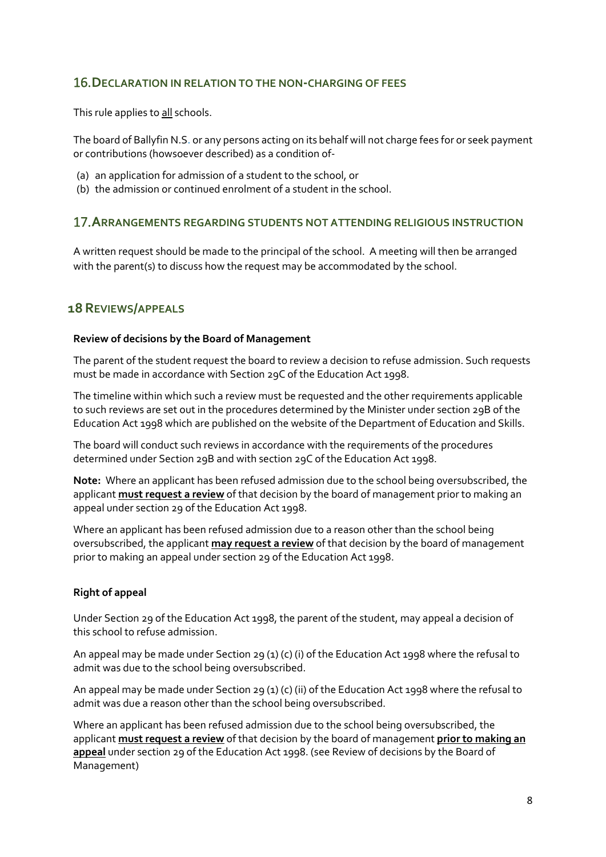### 16.**DECLARATION IN RELATION TO THE NON-CHARGING OF FEES**

This rule applies to all schools.

The board of Ballyfin N.S. or any persons acting on its behalf will not charge fees for or seek payment or contributions (howsoever described) as a condition of-

- (a) an application for admission of a student to the school, or
- (b) the admission or continued enrolment of a student in the school.

### 17.**ARRANGEMENTS REGARDING STUDENTS NOT ATTENDING RELIGIOUS INSTRUCTION**

A written request should be made to the principal of the school. A meeting will then be arranged with the parent(s) to discuss how the request may be accommodated by the school.

### **18REVIEWS/APPEALS**

#### **Review of decisions by the Board of Management**

The parent of the student request the board to review a decision to refuse admission. Such requests must be made in accordance with Section 29C of the Education Act 1998.

The timeline within which such a review must be requested and the other requirements applicable to such reviews are set out in the procedures determined by the Minister under section 29B of the Education Act 1998 which are published on the website of the Department of Education and Skills.

The board will conduct such reviews in accordance with the requirements of the procedures determined under Section 29B and with section 29C of the Education Act 1998.

**Note:** Where an applicant has been refused admission due to the school being oversubscribed, the applicant **must request a review** of that decision by the board of management prior to making an appeal under section 29 of the Education Act 1998.

Where an applicant has been refused admission due to a reason other than the school being oversubscribed, the applicant **may request a review** of that decision by the board of management prior to making an appeal under section 29 of the Education Act 1998.

#### **Right of appeal**

Under Section 29 of the Education Act 1998, the parent of the student, may appeal a decision of this school to refuse admission.

An appeal may be made under Section 29 (1) (c) (i) of the Education Act 1998 where the refusal to admit was due to the school being oversubscribed.

An appeal may be made under Section 29 (1) (c) (ii) of the Education Act 1998 where the refusal to admit was due a reason other than the school being oversubscribed.

Where an applicant has been refused admission due to the school being oversubscribed, the applicant **must request a review** of that decision by the board of management **prior to making an appeal** under section 29 of the Education Act 1998. (see Review of decisions by the Board of Management)